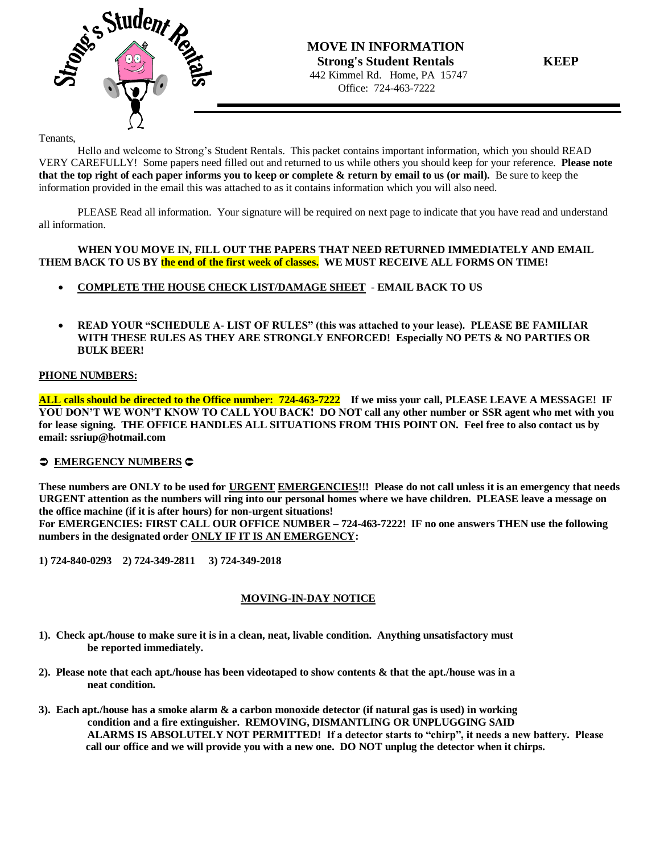

### Tenants,

Hello and welcome to Strong's Student Rentals. This packet contains important information, which you should READ VERY CAREFULLY! Some papers need filled out and returned to us while others you should keep for your reference. **Please note that the top right of each paper informs you to keep or complete & return by email to us (or mail).** Be sure to keep the information provided in the email this was attached to as it contains information which you will also need.

PLEASE Read all information. Your signature will be required on next page to indicate that you have read and understand all information.

### **WHEN YOU MOVE IN, FILL OUT THE PAPERS THAT NEED RETURNED IMMEDIATELY AND EMAIL THEM BACK TO US BY the end of the first week of classes. WE MUST RECEIVE ALL FORMS ON TIME!**

- **COMPLETE THE HOUSE CHECK LIST/DAMAGE SHEET EMAIL BACK TO US**
- **READ YOUR "SCHEDULE A- LIST OF RULES" (this was attached to your lease). PLEASE BE FAMILIAR WITH THESE RULES AS THEY ARE STRONGLY ENFORCED! Especially NO PETS & NO PARTIES OR BULK BEER!**

## **PHONE NUMBERS:**

**ALL calls should be directed to the Office number: 724-463-7222 If we miss your call, PLEASE LEAVE A MESSAGE! IF YOU DON'T WE WON'T KNOW TO CALL YOU BACK! DO NOT call any other number or SSR agent who met with you for lease signing. THE OFFICE HANDLES ALL SITUATIONS FROM THIS POINT ON. Feel free to also contact us by email: ssriup@hotmail.com**

## $\supset$  **EMERGENCY NUMBERS**

**These numbers are ONLY to be used for URGENT EMERGENCIES!!! Please do not call unless it is an emergency that needs URGENT attention as the numbers will ring into our personal homes where we have children. PLEASE leave a message on the office machine (if it is after hours) for non-urgent situations! For EMERGENCIES: FIRST CALL OUR OFFICE NUMBER – 724-463-7222! IF no one answers THEN use the following numbers in the designated order ONLY IF IT IS AN EMERGENCY:** 

**1) 724-840-0293 2) 724-349-2811 3) 724-349-2018**

## **MOVING-IN-DAY NOTICE**

- **1). Check apt./house to make sure it is in a clean, neat, livable condition. Anything unsatisfactory must be reported immediately.**
- **2). Please note that each apt./house has been videotaped to show contents & that the apt./house was in a neat condition.**
- **3). Each apt./house has a smoke alarm & a carbon monoxide detector (if natural gas is used) in working condition and a fire extinguisher. REMOVING, DISMANTLING OR UNPLUGGING SAID ALARMS IS ABSOLUTELY NOT PERMITTED! If a detector starts to "chirp", it needs a new battery. Please call our office and we will provide you with a new one. DO NOT unplug the detector when it chirps.**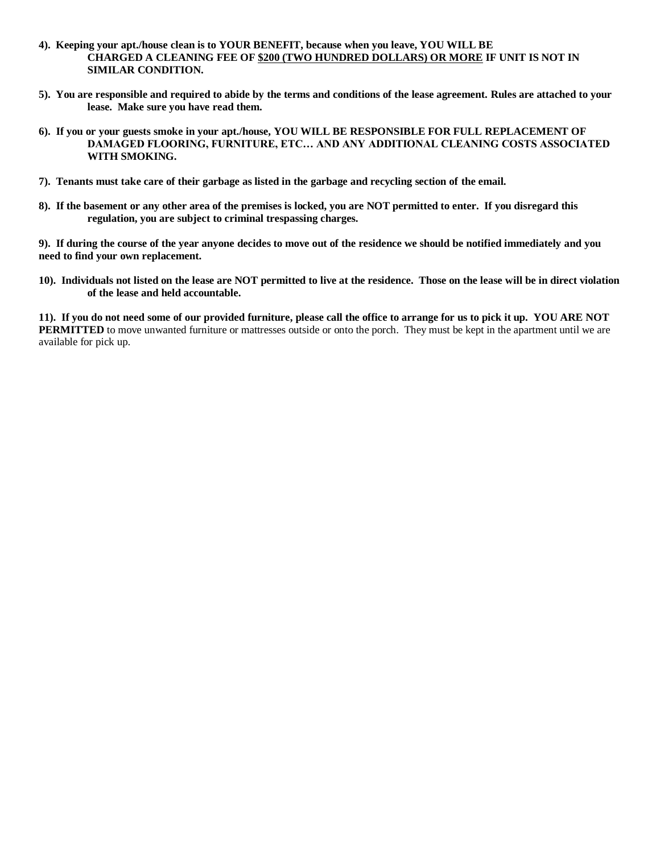- **4). Keeping your apt./house clean is to YOUR BENEFIT, because when you leave, YOU WILL BE CHARGED A CLEANING FEE OF \$200 (TWO HUNDRED DOLLARS) OR MORE IF UNIT IS NOT IN SIMILAR CONDITION.**
- **5). You are responsible and required to abide by the terms and conditions of the lease agreement. Rules are attached to your lease. Make sure you have read them.**
- **6). If you or your guests smoke in your apt./house, YOU WILL BE RESPONSIBLE FOR FULL REPLACEMENT OF DAMAGED FLOORING, FURNITURE, ETC… AND ANY ADDITIONAL CLEANING COSTS ASSOCIATED WITH SMOKING.**
- **7). Tenants must take care of their garbage as listed in the garbage and recycling section of the email.**
- **8). If the basement or any other area of the premises is locked, you are NOT permitted to enter. If you disregard this regulation, you are subject to criminal trespassing charges.**

**9). If during the course of the year anyone decides to move out of the residence we should be notified immediately and you need to find your own replacement.**

**10). Individuals not listed on the lease are NOT permitted to live at the residence. Those on the lease will be in direct violation of the lease and held accountable.**

**11). If you do not need some of our provided furniture, please call the office to arrange for us to pick it up. YOU ARE NOT PERMITTED** to move unwanted furniture or mattresses outside or onto the porch. They must be kept in the apartment until we are available for pick up.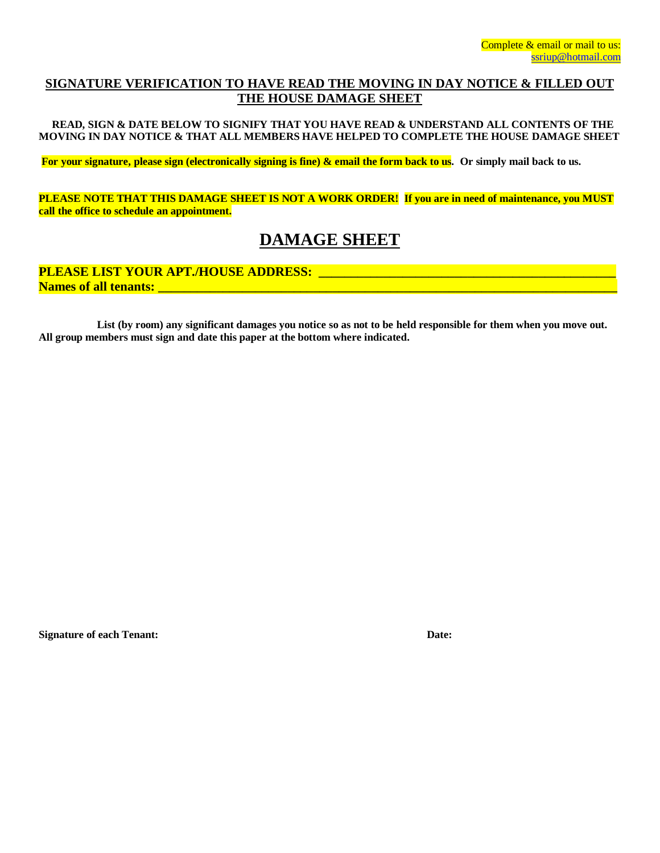## **SIGNATURE VERIFICATION TO HAVE READ THE MOVING IN DAY NOTICE & FILLED OUT THE HOUSE DAMAGE SHEET**

 **READ, SIGN & DATE BELOW TO SIGNIFY THAT YOU HAVE READ & UNDERSTAND ALL CONTENTS OF THE MOVING IN DAY NOTICE & THAT ALL MEMBERS HAVE HELPED TO COMPLETE THE HOUSE DAMAGE SHEET**

**For your signature, please sign (electronically signing is fine) & email the form back to us. Or simply mail back to us.**

**PLEASE NOTE THAT THIS DAMAGE SHEET IS NOT A WORK ORDER! If you are in need of maintenance, you MUST call the office to schedule an appointment.**

# **DAMAGE SHEET**

**PLEASE LIST YOUR APT./HOUSE ADDRESS: \_\_\_\_\_\_\_\_\_\_\_\_\_\_\_\_\_\_\_\_\_\_\_\_\_\_\_\_\_\_\_\_\_\_\_\_\_\_\_\_\_\_\_\_\_\_ Names of all tenants: \_\_\_\_\_\_\_\_\_\_\_\_\_\_\_\_\_\_\_\_\_\_\_\_\_\_\_\_\_\_\_\_\_\_\_\_\_\_\_\_\_\_\_\_\_\_\_\_\_\_\_\_\_\_\_\_\_\_\_\_\_\_\_\_\_\_\_\_\_\_\_**

**List (by room) any significant damages you notice so as not to be held responsible for them when you move out. All group members must sign and date this paper at the bottom where indicated.**

**Signature of each Tenant: Date:**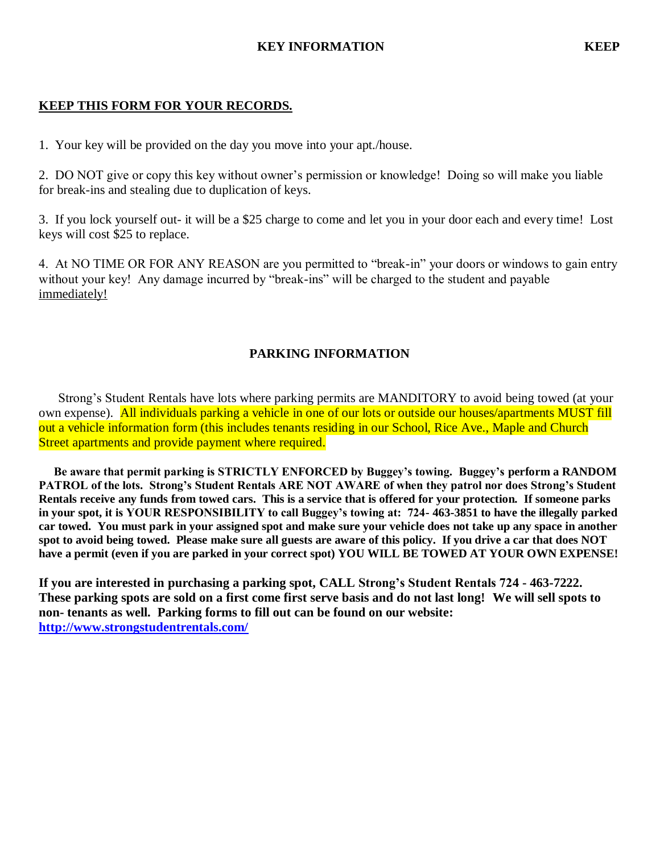## **KEY INFORMATION KEEP**

# **KEEP THIS FORM FOR YOUR RECORDS.**

1. Your key will be provided on the day you move into your apt./house.

2.DO NOT give or copy this key without owner's permission or knowledge! Doing so will make you liable for break-ins and stealing due to duplication of keys.

3. If you lock yourself out- it will be a \$25 charge to come and let you in your door each and every time! Lost keys will cost \$25 to replace.

4. At NO TIME OR FOR ANY REASON are you permitted to "break-in" your doors or windows to gain entry without your key! Any damage incurred by "break-ins" will be charged to the student and payable immediately!

# **PARKING INFORMATION**

Strong's Student Rentals have lots where parking permits are MANDITORY to avoid being towed (at your own expense). All individuals parking a vehicle in one of our lots or outside our houses/apartments MUST fill out a vehicle information form (this includes tenants residing in our School, Rice Ave., Maple and Church Street apartments and provide payment where required.

 **Be aware that permit parking is STRICTLY ENFORCED by Buggey's towing. Buggey's perform a RANDOM PATROL of the lots. Strong's Student Rentals ARE NOT AWARE of when they patrol nor does Strong's Student Rentals receive any funds from towed cars. This is a service that is offered for your protection. If someone parks in your spot, it is YOUR RESPONSIBILITY to call Buggey's towing at: 724- 463-3851 to have the illegally parked car towed. You must park in your assigned spot and make sure your vehicle does not take up any space in another spot to avoid being towed. Please make sure all guests are aware of this policy. If you drive a car that does NOT have a permit (even if you are parked in your correct spot) YOU WILL BE TOWED AT YOUR OWN EXPENSE!** 

**If you are interested in purchasing a parking spot, CALL Strong's Student Rentals 724 - 463-7222. These parking spots are sold on a first come first serve basis and do not last long! We will sell spots to non- tenants as well. Parking forms to fill out can be found on our website: <http://www.strongstudentrentals.com/>**